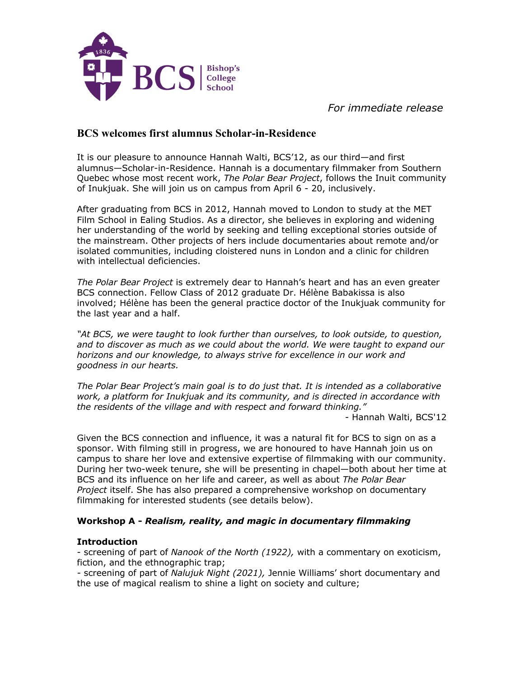

 *For immediate release*

# **BCS welcomes first alumnus Scholar-in-Residence**

It is our pleasure to announce Hannah Walti, BCS'12, as our third—and first alumnus—Scholar-in-Residence. Hannah is a documentary filmmaker from Southern Quebec whose most recent work, *The Polar Bear Project*, follows the Inuit community of Inukjuak. She will join us on campus from April 6 - 20, inclusively.

After graduating from BCS in 2012, Hannah moved to London to study at the MET Film School in Ealing Studios. As a director, she believes in exploring and widening her understanding of the world by seeking and telling exceptional stories outside of the mainstream. Other projects of hers include documentaries about remote and/or isolated communities, including cloistered nuns in London and a clinic for children with intellectual deficiencies.

*The Polar Bear Project* is extremely dear to Hannah's heart and has an even greater BCS connection. Fellow Class of 2012 graduate Dr. Hélène Babakissa is also involved; Hélène has been the general practice doctor of the Inukjuak community for the last year and a half.

*"At BCS, we were taught to look further than ourselves, to look outside, to question, and to discover as much as we could about the world. We were taught to expand our horizons and our knowledge, to always strive for excellence in our work and goodness in our hearts.*

*The Polar Bear Project's main goal is to do just that. It is intended as a collaborative work, a platform for Inukjuak and its community, and is directed in accordance with the residents of the village and with respect and forward thinking."*

- Hannah Walti, BCS'12

Given the BCS connection and influence, it was a natural fit for BCS to sign on as a sponsor. With filming still in progress, we are honoured to have Hannah join us on campus to share her love and extensive expertise of filmmaking with our community. During her two-week tenure, she will be presenting in chapel—both about her time at BCS and its influence on her life and career, as well as about *The Polar Bear Project* itself. She has also prepared a comprehensive workshop on documentary filmmaking for interested students (see details below).

### **Workshop A -** *Realism, reality, and magic in documentary filmmaking*

### **Introduction**

- screening of part of *Nanook of the North (1922),* with a commentary on exoticism, fiction, and the ethnographic trap;

*-* screening of part of *Nalujuk Night (2021),* Jennie Williams' short documentary and the use of magical realism to shine a light on society and culture;